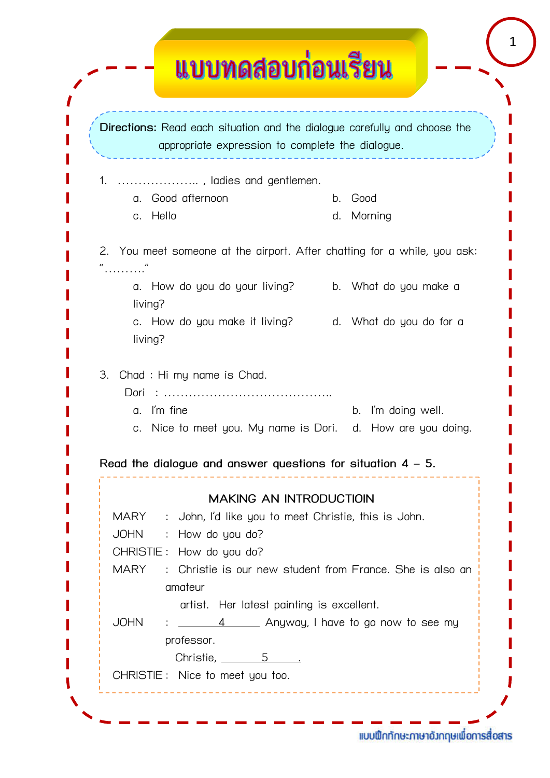| <u>แบบทดสอบก่อนเรียน</u>                                                                                                      |                                                           |
|-------------------------------------------------------------------------------------------------------------------------------|-----------------------------------------------------------|
|                                                                                                                               |                                                           |
| Directions: Read each situation and the dialogue carefully and choose the<br>appropriate expression to complete the dialogue. |                                                           |
| 1.                                                                                                                            |                                                           |
| , ladies and gentlemen.<br>Good afternoon<br>$\alpha$ .                                                                       | Good<br>$b_{-}$                                           |
| Hello<br>C <sub>1</sub>                                                                                                       | Morning<br>d.                                             |
|                                                                                                                               |                                                           |
| 2. You meet someone at the airport. After chatting for a while, you ask:                                                      |                                                           |
| $\epsilon$                                                                                                                    |                                                           |
| a. How do you do your living?                                                                                                 | b. What do you make a                                     |
| living?                                                                                                                       |                                                           |
| c. How do you make it living? d. What do you do for a                                                                         |                                                           |
| living?                                                                                                                       |                                                           |
|                                                                                                                               |                                                           |
| Chad: Hi my name is Chad.<br>3.                                                                                               |                                                           |
| Dori<br>.<br>.                                                                                                                |                                                           |
| I'm fine<br>a.                                                                                                                | I'm doing well.<br>b.                                     |
| c. Nice to meet you. My name is Dori. d. How are you doing.                                                                   |                                                           |
| Read the dialogue and answer questions for situation $4 - 5$ .                                                                |                                                           |
|                                                                                                                               |                                                           |
| <b>MAKING AN INTRODUCTIOIN</b>                                                                                                |                                                           |
| MARY : John, I'd like you to meet Christie, this is John.                                                                     |                                                           |
| : How do you do?<br><b>JOHN</b>                                                                                               |                                                           |
| CHRISTIE: How do you do?                                                                                                      |                                                           |
| <b>MARY</b>                                                                                                                   | : Christie is our new student from France. She is also an |
| amateur                                                                                                                       |                                                           |
| artist. Her latest painting is excellent.                                                                                     |                                                           |
| <b>JOHN</b>                                                                                                                   | $\frac{4}{1}$ Anyway, I have to go now to see my          |
| professor.                                                                                                                    |                                                           |
| Christie, $\frac{5}{2}$<br>CHRISTIE: Nice to meet you too.                                                                    |                                                           |
|                                                                                                                               |                                                           |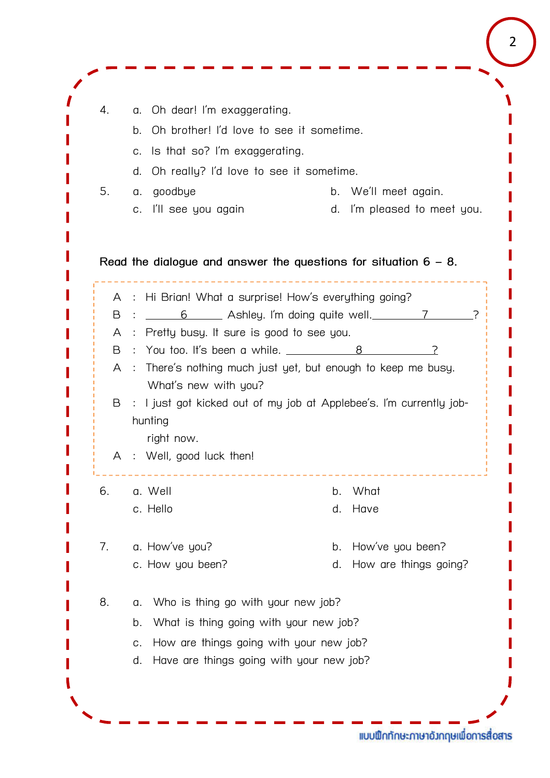| 4.             | Oh dear! I'm exaggerating.<br>a.        |                                                                                             |
|----------------|-----------------------------------------|---------------------------------------------------------------------------------------------|
|                | b.                                      | Oh brother! I'd love to see it sometime.                                                    |
|                | Is that so? I'm exaggerating.<br>C.     |                                                                                             |
|                | d.                                      | Oh really? I'd love to see it sometime.                                                     |
| 5.             | goodbye<br>α.                           | b. We'll meet again.                                                                        |
|                | I'll see you again<br>C.                | I'm pleased to meet you.<br>d.                                                              |
| B<br>A         |                                         | A : Hi Brian! What a surprise! How's everything going?<br>6 Ashley. I'm doing quite well. 7 |
|                |                                         |                                                                                             |
|                |                                         |                                                                                             |
|                |                                         |                                                                                             |
|                |                                         | : Pretty busy. It sure is good to see you.                                                  |
| B              |                                         | : You too. It's been a while. ______________8                                               |
| A              |                                         | : There's nothing much just yet, but enough to keep me busy.                                |
| B              | What's new with you?                    | : I just got kicked out of my job at Applebee's. I'm currently job-                         |
|                | hunting                                 |                                                                                             |
|                | right now.                              |                                                                                             |
| A              | Well, good luck then!<br>$\ddot{\cdot}$ |                                                                                             |
|                |                                         |                                                                                             |
|                | a. Well<br>c. Hello                     | What<br>b.<br>Have<br>d.                                                                    |
|                |                                         |                                                                                             |
|                | a. How've you?                          | How've you been?<br>b.                                                                      |
|                | c. How you been?                        | How are things going?<br>d.                                                                 |
| 6.<br>7.<br>8. | α.                                      | Who is thing go with your new job?                                                          |
|                | b.                                      |                                                                                             |
|                | C.                                      | What is thing going with your new job?<br>How are things going with your new job?           |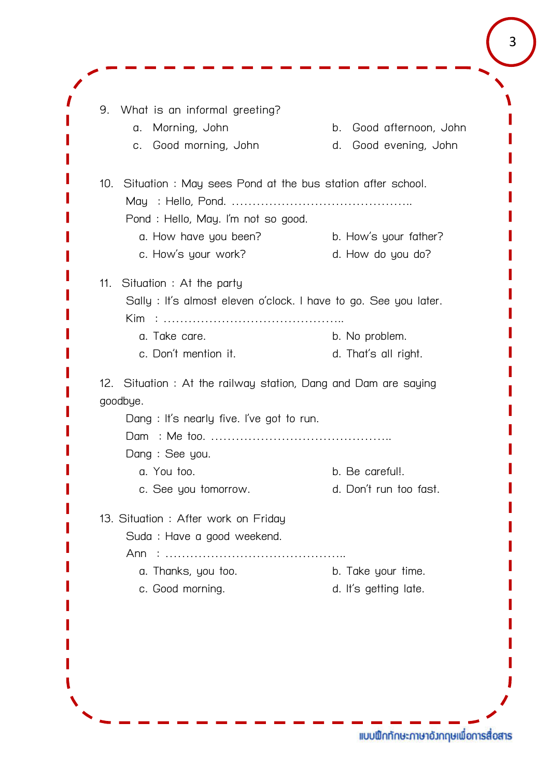9. What is an informal greeting? a. Morning, John b. Good afternoon, John c. Good morning, John d. Good evening, John 10. Situation : May sees Pond at the bus station after school. May : Hello, Pond. …………………………………….. Pond : Hello, May. I'm not so good. a. How have you been? b. How's your father? c. How's your work? d. How do you do? 11. Situation : At the party Sally : It's almost eleven o'clock. I have to go. See you later. Kim : …………………………………….. a. Take care. b. No problem. c. Don't mention it. d. That's all right. 12. Situation : At the railway station, Dang and Dam are saying goodbue. Dang : It's nearly five. I've got to run. Dam : Me too. …………………………………….. Dang : See you. a. You too. b. Be careful!. c. See you tomorrow. d. Don't run too fast. 13. Situation : After work on Friday Suda : Have a good weekend. Ann : …………………………………….. a. Thanks, you too. b. Take your time. c. Good morning. d. It's getting late.

3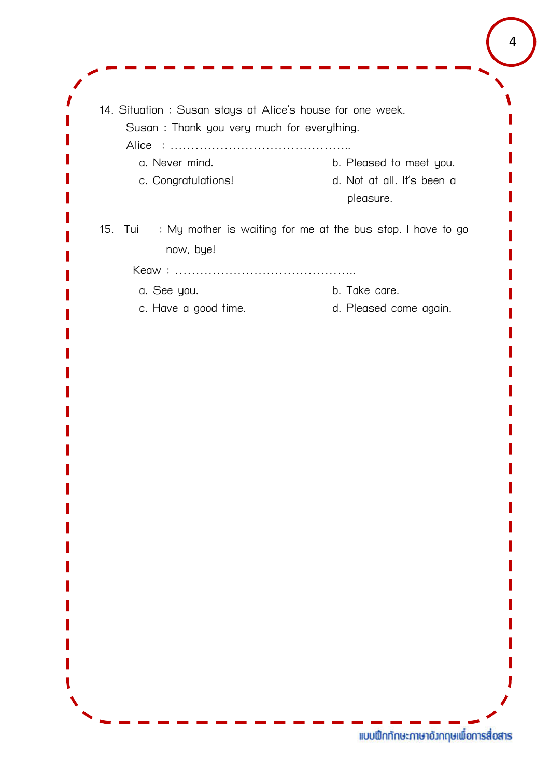| b. Pleased to meet you.<br>d. Not at all. It's been a<br>pleasure.<br>15. Tui : My mother is waiting for me at the bus stop. I have to go |
|-------------------------------------------------------------------------------------------------------------------------------------------|
|                                                                                                                                           |
|                                                                                                                                           |
|                                                                                                                                           |
| b. Take care.                                                                                                                             |
| d. Pleased come again.                                                                                                                    |
|                                                                                                                                           |
|                                                                                                                                           |
|                                                                                                                                           |
|                                                                                                                                           |
|                                                                                                                                           |
|                                                                                                                                           |

แบบฟิกทักษะภาษาอังกฤษเพื่อการสื่อสาร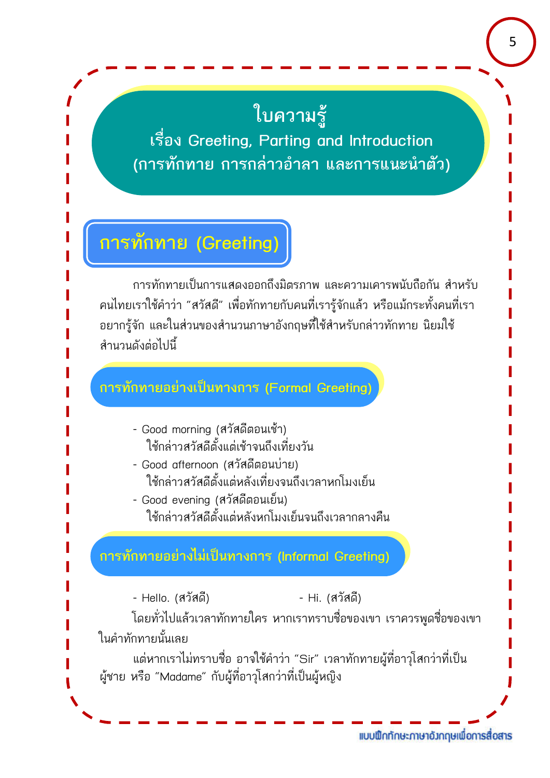# **ใบความรู**

**เรื่อง Greeting, Parting and Introduction (การทักทาย การกลาวอําลา และการแนะนําตัว)**

# **การทักทาย (Greeting)**

การทักทายเปนการแสดงออกถึงมิตรภาพ และความเคารพนับถือกัน สําหรับ คนไทยเราใชคําวา "สวัสดี" เพื่อทักทายกับคนที่เรารูจักแลว หรือแมกระทั้งคนที่เรา ้อยากรู้จัก และในส่วนของสำนวนภาษาอังกฤษที่ใช้สำหรับกล่าวทักทาย นิยมใช้ สํานวนดังตอไปนี้

#### **การทักทายอยางเปนทางการ (Formal Greeting)**

- Good morning (สวัสดีตอนเชา) ใชกลาวสวัสดีตั้งแตเชาจนถึงเที่ยงวัน
- Good afternoon (สวัสดีตอนบาย) ใชกลาวสวัสดีตั้งแตหลังเที่ยงจนถึงเวลาหกโมงเย็น
- Good evening (สวัสดีตอนเย็น) ใชกลาวสวัสดีตั้งแตหลังหกโมงเย็นจนถึงเวลากลางคืน

#### **การทักทายอยางไมเปนทางการ (Informal Greeting)**

- Hello. (สวัสดี) - Hi. (สวัสดี)

โดยทั่วไปแลวเวลาทักทายใคร หากเราทราบชื่อของเขา เราควรพูดชื่อของเขา ในคําทักทายนั้นเลย

ู้แต่หากเราไม่ทราบชื่อ อาจใช้คำว่า "Sir" เวลาทักทายผู้ที่อาวุโสกว่าที่เป็น ผูชาย หรือ "Madame" กับผูที่อาวุโสกวาที่เปนผูหญิง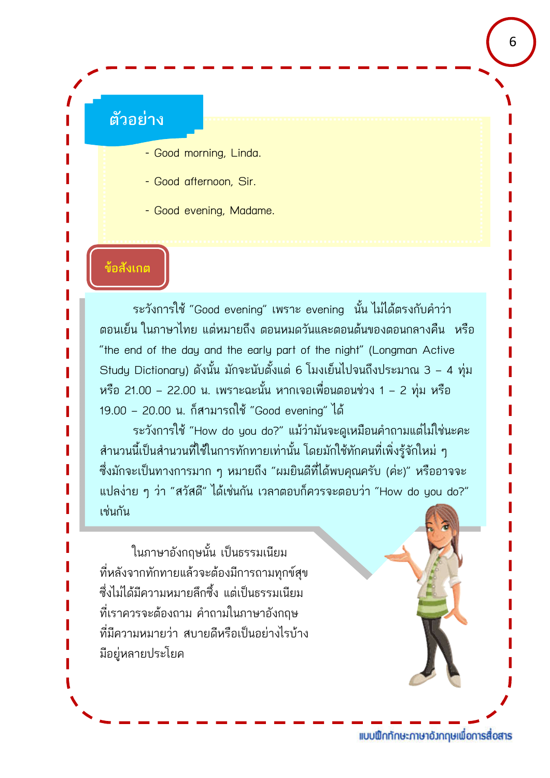#### **ตัวอยาง**

- Good morning, Linda.
- Good afternoon, Sir.
- Good evening, Madame.

#### **ขอสังเกต**

ระวังการใช้ "Good evening" เพราะ evening นั้น ไม่ได้ตรงกับคำว่า ้ตอนเย็น ในภาษาไทย แต่หมายถึง ตอนหมดวันและตอนต้นของตอนกลางคืน หรือ "the end of the day and the early part of the night" (Longman Active Study Dictionary) ดังนั้น มักจะนับตั้งแต 6 โมงเย็นไปจนถึงประมาณ 3 – 4 ทุม หรือ 21.00 – 22.00 น. เพราะฉะนั้น หากเจอเพื่อนตอนชวง 1 – 2 ทุม หรือ 19.00 – 20.00 น. ก็สามารถใช "Good evening" ได

ระวังการใช "How do you do?" แมวามันจะดูเหมือนคําถามแตไมใชนะคะ ้สำนวนนี้เป็นสำนวนที่ใช้ในการทักทายเท่านั้น โดยมักใช้ทักคนที่เพิ่งรู้จักใหม่ ๆ ซึ่งมักจะเปนทางการมาก ๆ หมายถึง "ผมยินดีที่ไดพบคุณครับ (คะ)" หรืออาจจะ แปลงาย ๆ วา "สวัสดี" ไดเชนกัน เวลาตอบก็ควรจะตอบวา "How do you do?" เชนกัน

ในภาษาอังกฤษนั้น เปนธรรมเนียม ที่หลังจากทักทายแลวจะตองมีการถามทุกขสุข ซึ่งไมไดมีความหมายลึกซึ้ง แตเปนธรรมเนียม ที่เราควรจะตองถาม คําถามในภาษาอังกฤษ ที่มีความหมายวา สบายดีหรือเปนอยางไรบาง มีอยูหลายประโยค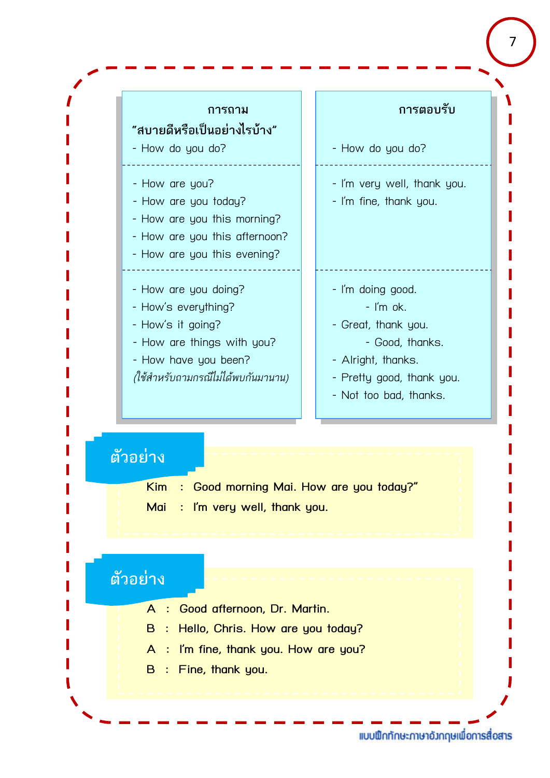

7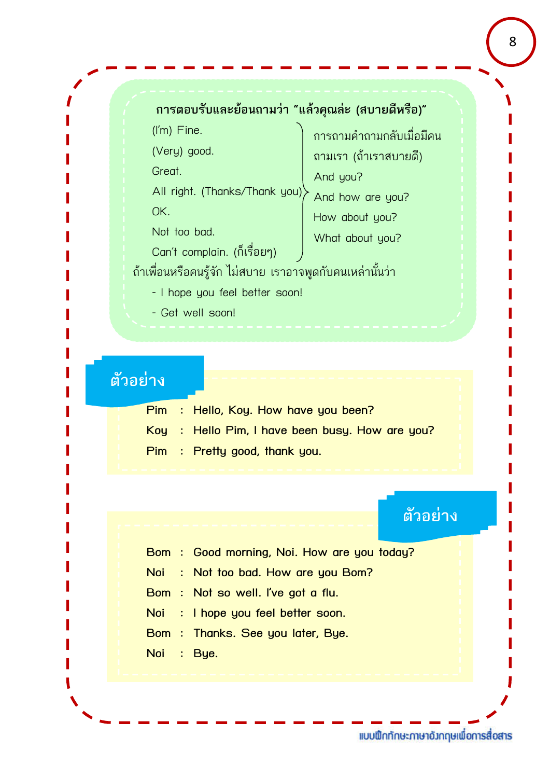#### **การตอบรับและยอนถามวา "แลวคุณละ (สบายดีหรือ)"**

(I'm) Fine.

(Very) good.

Great.

All right. (Thanks/Thank you) And how are you? OK.

Not too bad.

Can't complain. (ก็เรื่อยๆ)

การถามคําถามกลับเมื่อมีคน ถามเรา (ถาเราสบายดี) And you? How about you?

What about you?

ถาเพื่อนหรือคนรูจัก ไมสบาย เราอาจพูดกับคนเหลานั้นวา

- I hope you feel better soon!
- Get well soon!

### **ตัวอยาง**

**Pim : Hello, Koy. How have you been? Koy : Hello Pim, I have been busy. How are you? Pim : Pretty good, thank you.**

### **ตัวอยาง**

- **Bom : Good morning, Noi. How are you today?**
- **Noi : Not too bad. How are you Bom?**
- **Bom : Not so well. I've got a flu.**
- **Noi : I hope you feel better soon.**
- **Bom : Thanks. See you later, Bye.**
- **Noi : Bye.**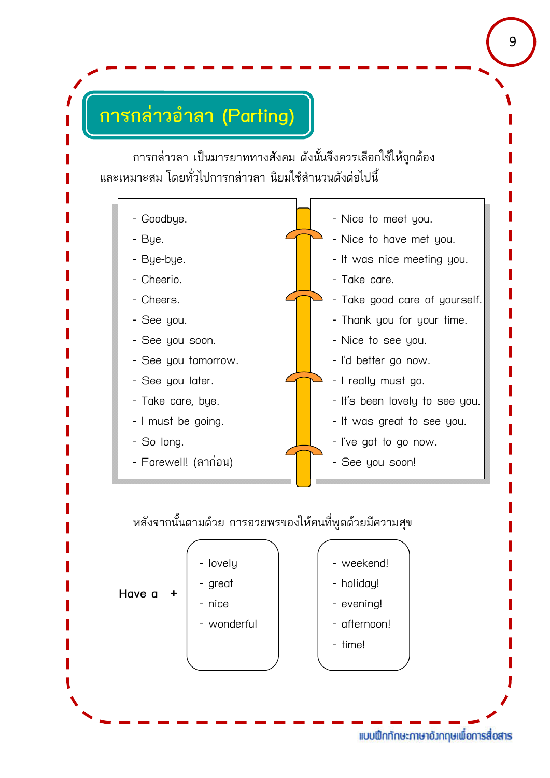# **การกลาวอําลา (Parting)**

การกลาวลา เปนมารยาททางสังคม ดังนั้นจึงควรเลือกใชใหถูกตอง และเหมาะสม โดยทั่วไปการกลาวลา นิยมใชสํานวนดังตอไปนี้



#### หลังจากนั้นตามดวย การอวยพรของใหคนที่พูดดวยมีความสุข

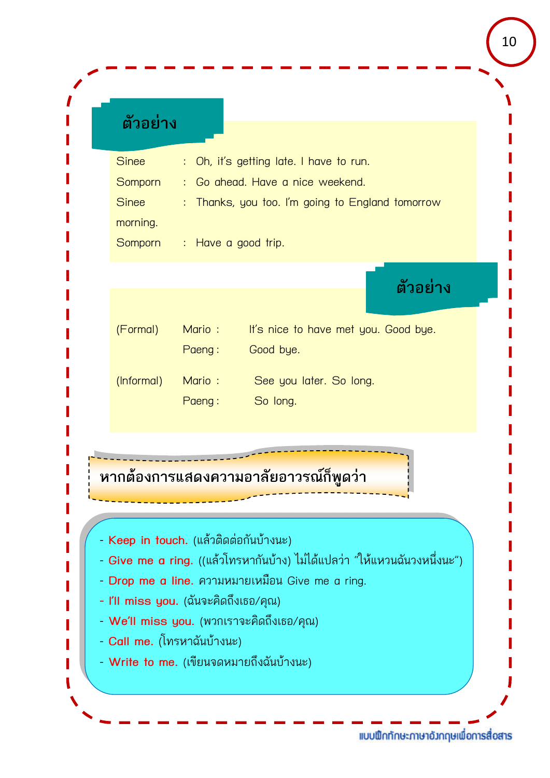| ം പ |         |
|-----|---------|
|     | ต๋วอยาง |
|     |         |

| <b>Sinee</b> | : Oh, it's getting late. I have to run.          |
|--------------|--------------------------------------------------|
| Somporn      | : Go ahead. Have a nice weekend.                 |
| <b>Sinee</b> | : Thanks, you too. I'm going to England tomorrow |
| morning.     |                                                  |
| Somporn      | : Have a good trip.                              |
|              |                                                  |
|              | ตัวอย่าง                                         |
|              |                                                  |

| (Formal)   | Mario: | It's nice to have met you. Good bye. |
|------------|--------|--------------------------------------|
|            | Paeng: | Good bye.                            |
| (Informal) | Mario: | See you later. So long.              |
|            | Paeng: | So long.                             |

ี**หากต้องการแสดงความอาลัยอาวรณ์ก็พูดว่า** 

- **Keep in touch.** (แลวติดตอกันบางนะ)
- **Give me a ring.** ((แลวโทรหากันบาง) ไมไดแปลวา "ใหแหวนฉันวงหนึ่งนะ")
- **Drop me a line.** ความหมายเหมือน Give me a ring.
- **- I'll miss you.** (ฉันจะคิดถึงเธอ/คุณ)
- **We'll miss you.** (พวกเราจะคิดถึงเธอ/คุณ)
- **Call me.** (โทรหาฉันบางนะ)
- **Write to me.** (เขียนจดหมายถึงฉันบางนะ)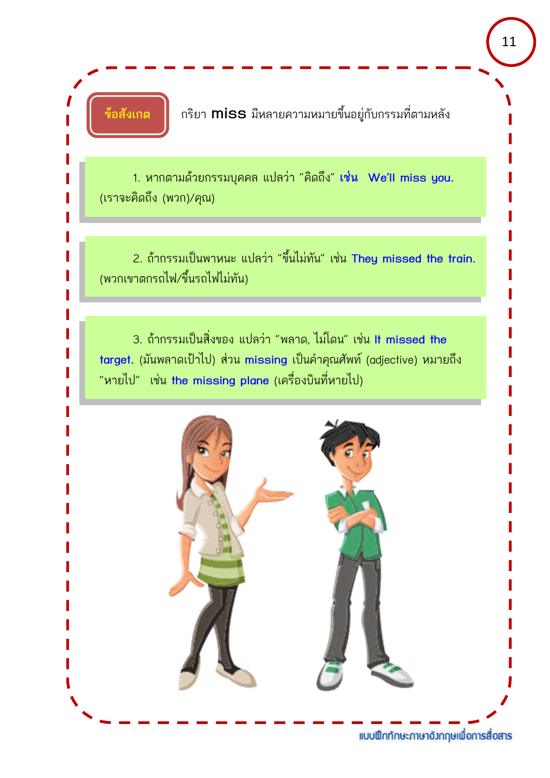**ขอสังเกต** กริยา **miss** มีหลายความหมายขึ้นอยูกับกรรมที่ตามหลัง

1. หากตามดวยกรรมบุคคล แปลวา "คิดถึง" **เชน We'll miss you.** (เราจะคิดถึง (พวก)/คุณ)

2. ถากรรมเปนพาหนะ แปลวา "ขึ้นไมทัน" เชน **They missed the train.** (พวกเขาตกรถไฟ/ขึ้นรถไฟไมทัน)

3. ถากรรมเปนสิ่งของ แปลวา "พลาด, ไมโดน" เชน **It missed the target.** (มันพลาดเปาไป) สวน **missing** เปนคําคุณศัพท (adjective) หมายถึง "หายไป" เชน **the missing plane** (เครื่องบินที่หายไป)

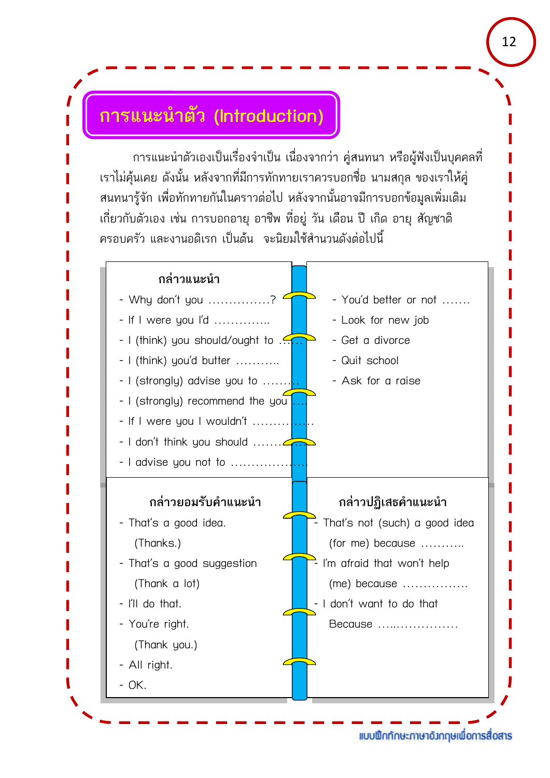### **การแนะนําตัว (Introduction)**

การแนะนําตัวเองเปนเรื่องจําเปน เนื่องจากวา คูสนทนา หรือผูฟงเปนบุคคลที่ เราไมคุนเคย ดังนั้น หลังจากที่มีการทักทายเราควรบอกชื่อ นามสกุล ของเราใหคู สนทนารูจัก เพื่อทักทายกันในคราวตอไป หลังจากนั้นอาจมีการบอกขอมูลเพิ่มเติม เกี่ยวกับตัวเอง เชน การบอกอายุ อาชีพ ที่อยู วัน เดือน ป เกิด อายุ สัญชาติ ครอบครัว และงานอดิเรก เปนตน จะนิยมใชสํานวนดังตอไปนี้

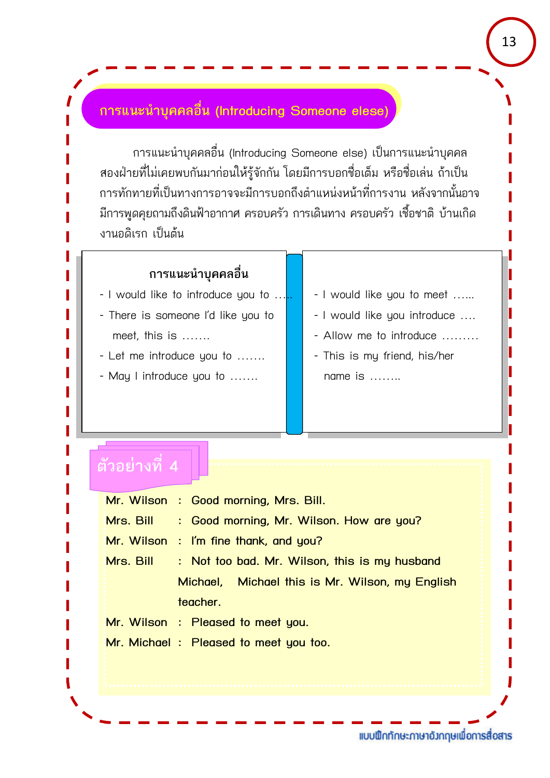#### **การแนะนําบุคคลอื่น (Introducing Someone elese)**

การแนะนําบุคคลอื่น (Introducing Someone else) เปนการแนะนําบุคคล ้ สองฝ่ายที่ไม่เคยพบกันมาก่อนให้รู้จักกัน โดยมีการบอกชื่อเต็ม หรือชื่อเล่น ถ้าเป็น การทักทายที่เปนทางการอาจจะมีการบอกถึงตําแหนงหนาที่การงาน หลังจากนั้นอาจ มีการพูดคุยถามถึงดินฟ้าอากาศ ครอบครัว การเดินทาง ครอบครัว เชื้อชาติ บ้านเกิด ึงานอดิเรก เป็นต้น

#### **การแนะนําบุคคลอื่น**

- I would like to introduce you to  $\dots$ .  $\blacksquare$  I would like you to meet  $\dots$ .
- There is someone I'd like you to  $\|\cdot\|$  I would like you introduce ....
- Let me introduce you to ....... | | | This is my friend, his/her
- May I introduce you to ……. name is ……..
- 
- 
- meet, this is  $\ldots$   $\qquad$   $\qquad$  Allow me to introduce  $\ldots$ 
	-

#### **ตัวอยางที่ 4**

**Mr. Wilson : Good morning, Mrs. Bill. Mrs. Bill : Good morning, Mr. Wilson. How are you? Mr. Wilson : I'm fine thank, and you? Mrs. Bill : Not too bad. Mr. Wilson, this is my husband Michael, Michael this is Mr. Wilson, my English teacher. Mr. Wilson : Pleased to meet you. Mr. Michael : Pleased to meet you too.**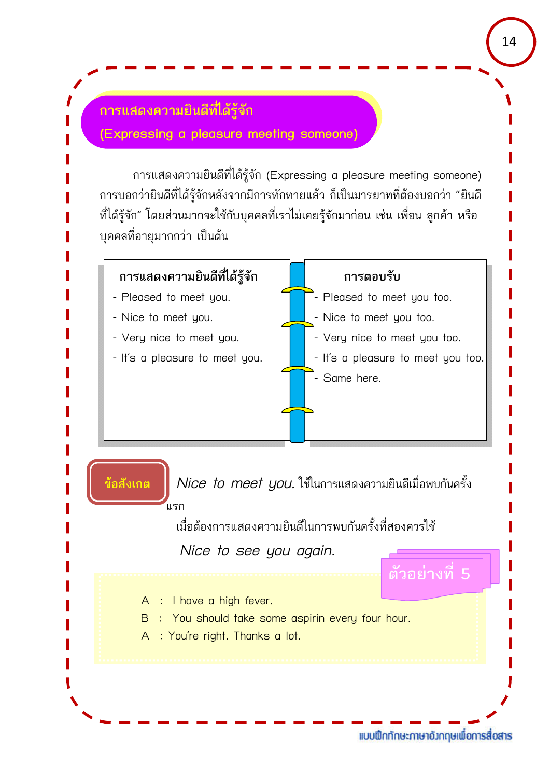#### **การแสดงความยินดีที่ไดรูจัก**

**(Expressing a pleasure meeting someone)**

การแสดงความยินดีที่ไดรูจัก (Expressing a pleasure meeting someone) การบอกวายินดีที่ไดรูจักหลังจากมีการทักทายแลว ก็เปนมารยาทที่ตองบอกวา "ยินดี ที่ได้รู้จัก" โดยส่วนมากจะใช้กับบุคคลที่เราไม่เคยรู้จักมาก่อน เช่น เพื่อน ลูกค้า หรือ ้บุคคลที่อายุมากกว่า เป็นต้น

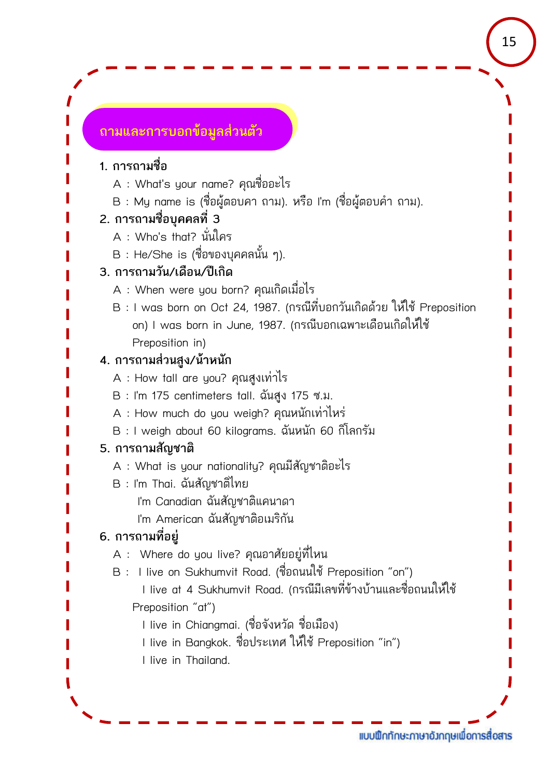#### **ถามและการบอกขอมูลสวนตัว**

#### **1. การถามชื่อ**

- A : What's your name? คุณชื่ออะไร
- B : My name is (ชื่อผูตอบคา ถาม). หรือ I'm (ชื่อผูตอบคํา ถาม).

#### **2. การถามชื่อบุคคลที่ 3**

- A : Who's that? นั่นใคร
- B : He/She is (ชื่อของบุคคลนั้น ๆ).

#### **3. การถามวัน/เดือน/ปเกิด**

- A : When were you born? คุณเกิดเมื่อไร
- $B$  : I was born on Oct 24, 1987. (กรณีที่บอกวันเกิดด้วย ให้ใช้ Preposition on) I was born in June, 1987. (กรณีบอกเฉพาะเดือนเกิดใหใช Preposition in)

#### **4. การถามสวนสูง/นาหนัก**

- A : How tall are you? คุณสูงเทาไร
- B : I'm 175 centimeters tall. ฉันสูง 175 ซ.ม.
- A : How much do you weigh? คุณหนักเทาไหร
- B : I weigh about 60 kilograms. ฉันหนัก 60 กิโลกรัม

#### **5. การถามสัญชาติ**

- A : What is your nationality? คุณมีสัญชาติอะไร
- B : I'm Thai. ฉันสัญชาติไทย
	- I'm Canadian ฉันสัญชาติแคนาดา
	- I'm American ฉันสัญชาติอเมริกัน

#### **6. การถามที่อยู**

- A : Where do you live? คุณอาศัยอยูที่ไหน
- $B$  : I live on Sukhumvit Road. (ชื่อถนนใช้ Preposition "on")
	- l live at 4 Sukhumvit Road. (กรณีมีเลขที่ข้างบ้านและชื่อถนนให้ใช้ Preposition "at")
		- I live in Chiangmai. (ชื่อจังหวัด ชื่อเมือง)
		- I live in Bangkok. ชื่อประเทศ ให้ใช้ Preposition "in")
		- I live in Thailand.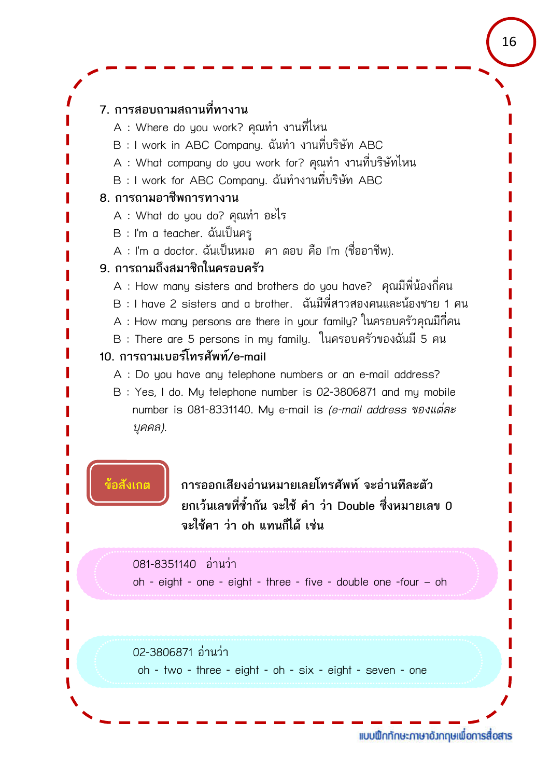#### **7. การสอบถามสถานที่ทางาน**

- A : Where do you work? คุณทํา งานที่ไหน
- B : I work in ABC Company. ฉันทํา งานที่บริษัท ABC
- A : What company do you work for? คุณทํา งานที่บริษัทไหน
- B : I work for ABC Company. ฉันทํางานที่บริษัท ABC

#### **8. การถามอาชีพการทางาน**

- A : What do you do? คุณทํา อะไร
- B : I'm a teacher. ฉันเปนครู
- A : I'm a doctor. ฉันเปนหมอ คา ตอบ คือ I'm (ชื่ออาชีพ).

#### **9. การถามถึงสมาชิกในครอบครัว**

- A : How many sisters and brothers do you have? คุณมีพี่นองกี่คน
- $B$  : I have 2 sisters and a brother.  $\tilde{a}$ นมีพี่สาวสองคนและน้องชาย 1 คน
- A : How many persons are there in your family? ในครอบครัวคุณมีกี่คน
- B : There are 5 persons in my family. ในครอบครัวของฉันมี 5 คน

#### **10. การถามเบอรโทรศัพท/e-mail**

A : Do you have any telephone numbers or an e-mail address?

B : Yes, I do. My telephone number is 02-3806871 and my mobile number is 081-8331140. My e-mail is *(e-mail address ของแตละ บุคคล).*

**ขอสังเกต การออกเสียงอานหมายเลยโทรศัพท จะอานทีละตัว ยกเวนเลขที่ซ้ํากัน จะใช คํา วา Double ซึ่งหมายเลข 0 จะใชคา วา oh แทนก็ได เชน**

#### 081-8351140 อานวา

oh - eight - one - eight - three - five - double one -four – oh

#### 02-3806871 อานวา

oh - two - three - eight - oh - six - eight - seven - one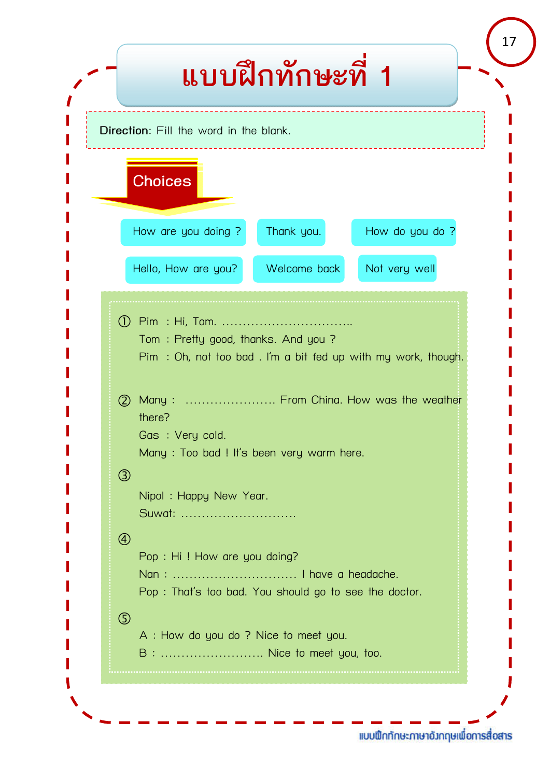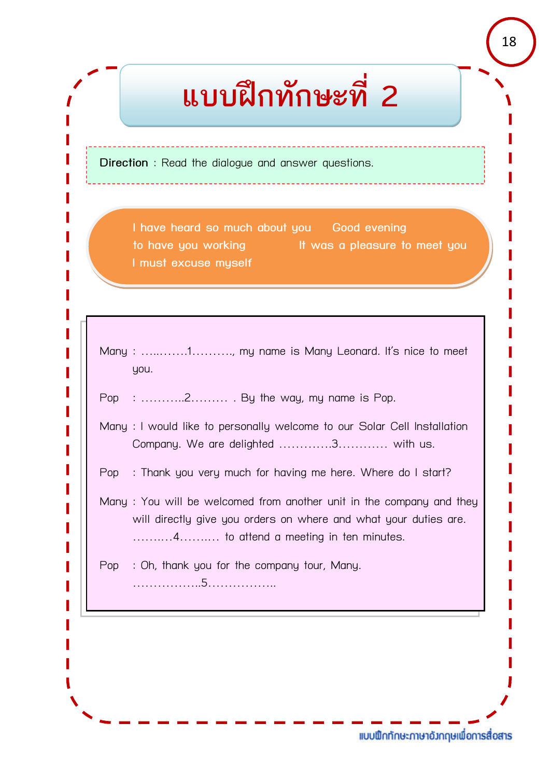# **แบบฝกทักษะที่ 2**

**Direction** : Read the dialogue and answer questions.

**I have heard so much about you Good evening to have you working It was a pleasure to meet you I must excuse myself** 

Many : ............1.........., my name is Many Leonard. It's nice to meet you.

Pop : ………..2……… . By the way, my name is Pop.

Many : I would like to personally welcome to our Solar Cell Installation Company. We are delighted ………….3………… with us.

Pop : Thank you very much for having me here. Where do I start?

Many : You will be welcomed from another unit in the company and they will directly give you orders on where and what your duties are. …….…4…….… to attend a meeting in ten minutes.

Pop : Oh, thank you for the company tour, Many. ……………..5……………..

18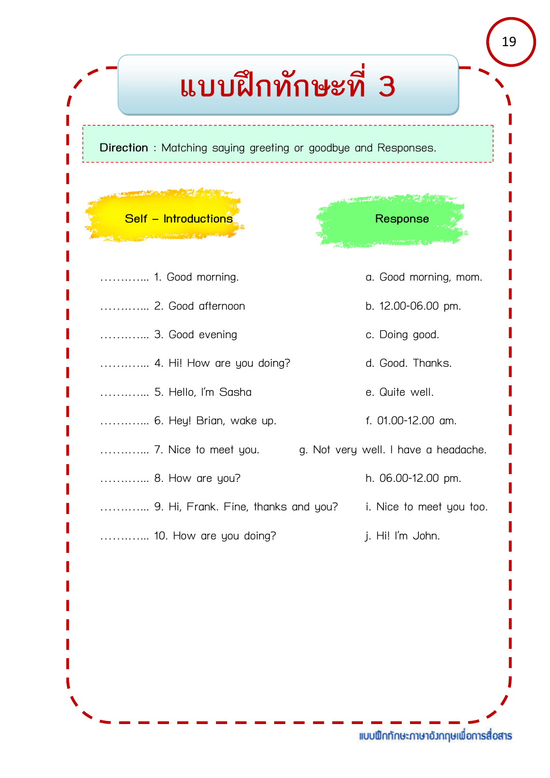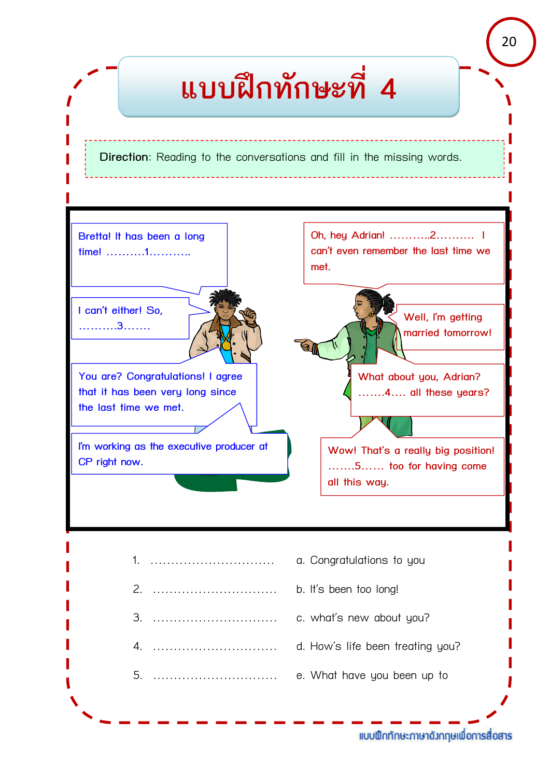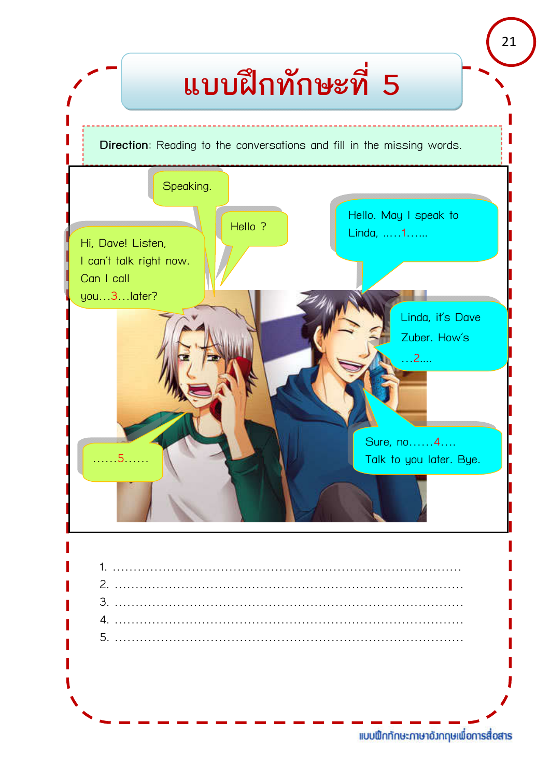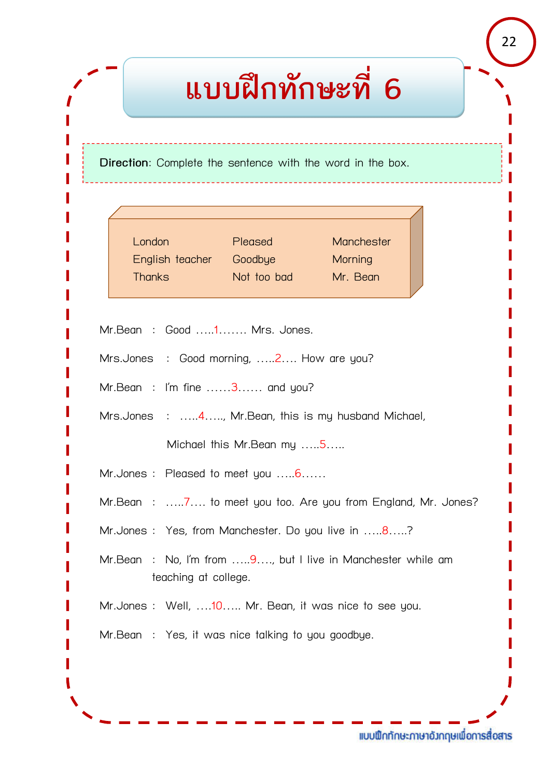# **แบบฝกทักษะที่ 6**

**Direction**: Complete the sentence with the word in the box.

| London          | Pleased     | Manchester |  |
|-----------------|-------------|------------|--|
| English teacher | Goodbye     | Morning    |  |
| <b>Thanks</b>   | Not too bad | Mr. Bean   |  |
|                 |             |            |  |

Mr.Bean : Good …..1……. Mrs. Jones.

Mrs.Jones : Good morning, .....2.... How are you?

Mr.Bean : I'm fine ......3...... and you?

Mrs.Jones : …..4….., Mr.Bean, this is my husband Michael,

Michael this Mr.Bean my …..5…..

Mr.Jones : Pleased to meet you .....6......

Mr.Bean : …..7…. to meet you too. Are you from England, Mr. Jones?

Mr.Jones : Yes, from Manchester. Do you live in .....8.....?

Mr.Bean : No, I'm from .....9...., but I live in Manchester while am teaching at college.

Mr.Jones : Well, ....10..... Mr. Bean, it was nice to see you.

Mr.Bean : Yes, it was nice talking to you goodbye.

แบบฟิกทักษะภาษาอังกฤษเพื่อการสื่อสาร

22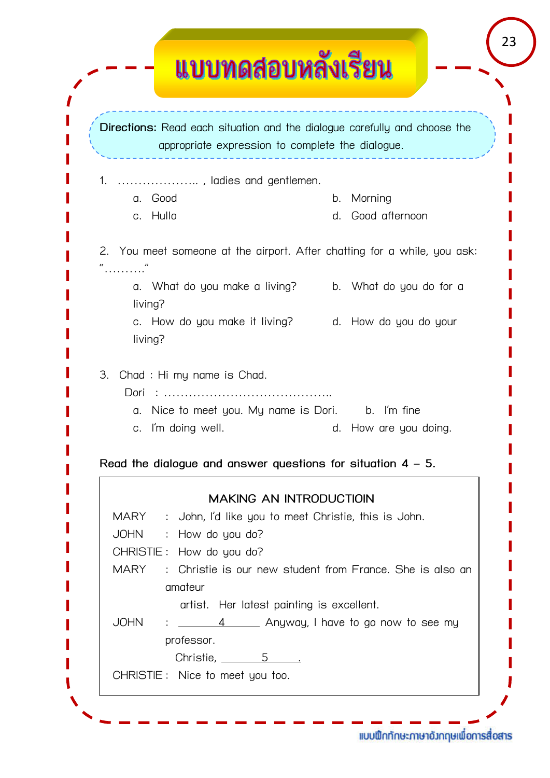|             | Directions: Read each situation and the dialogue carefully and choose the<br>appropriate expression to complete the dialogue. |    |                    |
|-------------|-------------------------------------------------------------------------------------------------------------------------------|----|--------------------|
| 1.          | , ladies and gentlemen.                                                                                                       |    |                    |
| Good<br>a.  |                                                                                                                               | b. | Morning            |
| c. Hullo    |                                                                                                                               | d. | Good afternoon     |
|             | 2. You meet someone at the airport. After chatting for a while, you ask:                                                      |    |                    |
| living?     | a. What do you make a living? b. What do you do for a                                                                         |    |                    |
| living?     | c. How do you make it living? d. How do you do your                                                                           |    |                    |
| Dori        | Chad: Hi my name is Chad.                                                                                                     |    |                    |
| 3.<br>C.    | a. Nice to meet you. My name is Dori. b. I'm fine<br>I'm doing well.                                                          | d. | How are you doing. |
|             | Read the dialogue and answer questions for situation $4 - 5$ .                                                                |    |                    |
|             | <b>MAKING AN INTRODUCTIOIN</b>                                                                                                |    |                    |
|             | MARY : John, I'd like you to meet Christie, this is John.                                                                     |    |                    |
|             | JOHN : How do you do?                                                                                                         |    |                    |
|             | CHRISTIE: How do you do?                                                                                                      |    |                    |
| <b>MARY</b> | : Christie is our new student from France. She is also an                                                                     |    |                    |
|             | amateur                                                                                                                       |    |                    |
| JOHN        | artist. Her latest painting is excellent.                                                                                     |    |                    |
|             | : _______4 ______ Anyway, I have to go now to see my                                                                          |    |                    |
|             | professor.<br>Christie, $\frac{5}{2}$                                                                                         |    |                    |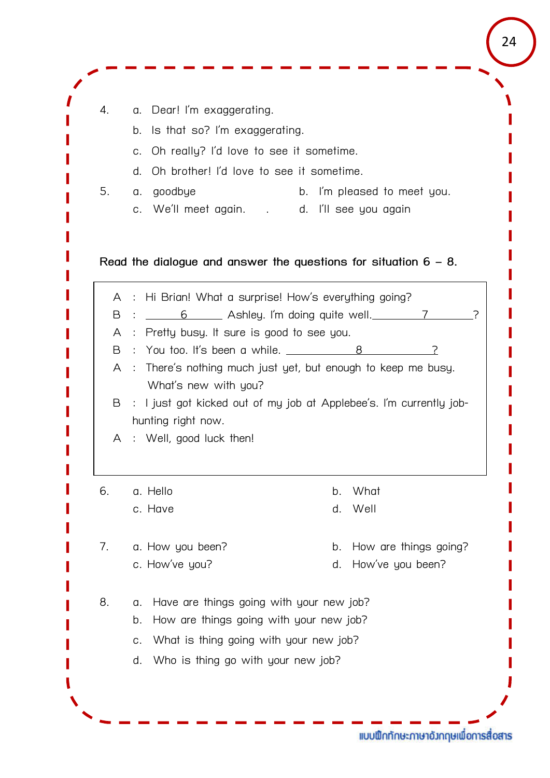| 4.             | Dear! I'm exaggerating.<br>α.                                                      |                                                                     |
|----------------|------------------------------------------------------------------------------------|---------------------------------------------------------------------|
|                | Is that so? I'm exaggerating.<br>b.                                                |                                                                     |
|                | Oh really? I'd love to see it sometime.<br>C.                                      |                                                                     |
|                | Oh brother! I'd love to see it sometime.<br>d.                                     |                                                                     |
| 5.             | goodbye<br>α.<br>We'll meet again. . d. I'll see you again<br>C.                   | b. I'm pleased to meet you.                                         |
|                |                                                                                    | Read the dialogue and answer the questions for situation $6 - 8$ .  |
| A              | Hi Brian! What a surprise! How's everything going?                                 |                                                                     |
| B              |                                                                                    | <u>6</u> Ashley. I'm doing quite well. 7                            |
| A<br>B         | : Pretty busy. It sure is good to see you.<br>: You too. It's been a while. $\_\_$ |                                                                     |
| A              |                                                                                    | : There's nothing much just yet, but enough to keep me busy.        |
|                | What's new with you?                                                               |                                                                     |
| B              |                                                                                    | : I just got kicked out of my job at Applebee's. I'm currently job- |
|                | hunting right now.                                                                 |                                                                     |
| $\overline{A}$ | Well, good luck then!<br>$\div$                                                    |                                                                     |
|                | a. Hello                                                                           | What<br>b.                                                          |
| 6.             |                                                                                    |                                                                     |
|                | c. Have                                                                            | Well<br>d.                                                          |
| 7.             | a. How you been?                                                                   | How are things going?<br>b.                                         |
|                | c. How've you?                                                                     | How've you been?<br>d.                                              |
| 8.             | Have are things going with your new job?<br>α.                                     |                                                                     |
|                | How are things going with your new job?<br>b.                                      |                                                                     |
|                | What is thing going with your new job?<br>C.                                       |                                                                     |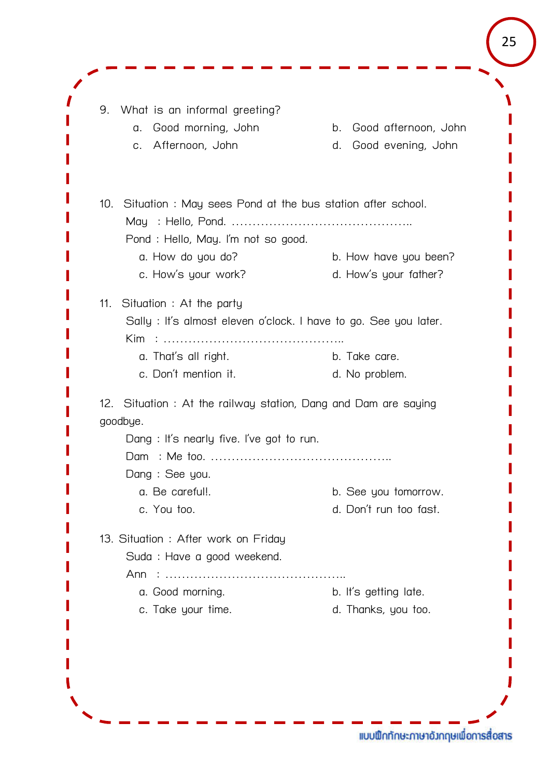9. What is an informal greeting? a. Good morning, John b. Good afternoon, John c. Afternoon, John d. Good evening, John 10. Situation : May sees Pond at the bus station after school. May : Hello, Pond. …………………………………….. Pond : Hello, May. I'm not so good. a. How do you do? b. How have you been? c. How's your work? d. How's your father? 11. Situation : At the party Sally : It's almost eleven o'clock. I have to go. See you later. Kim : …………………………………….. a. That's all right. b. Take care. c. Don't mention it. d. No problem. 12. Situation : At the railway station, Dang and Dam are saying goodbye. Dang : It's nearly five. I've got to run. Dam : Me too. …………………………………….. Dang : See you. a. Be careful!. b. See you tomorrow. c. You too. d. Don't run too fast. 13. Situation : After work on Friday Suda : Have a good weekend. Ann : …………………………………….. a. Good morning. b. It's getting late. c. Take your time.  $\qquad \qquad d.$  Thanks, you too.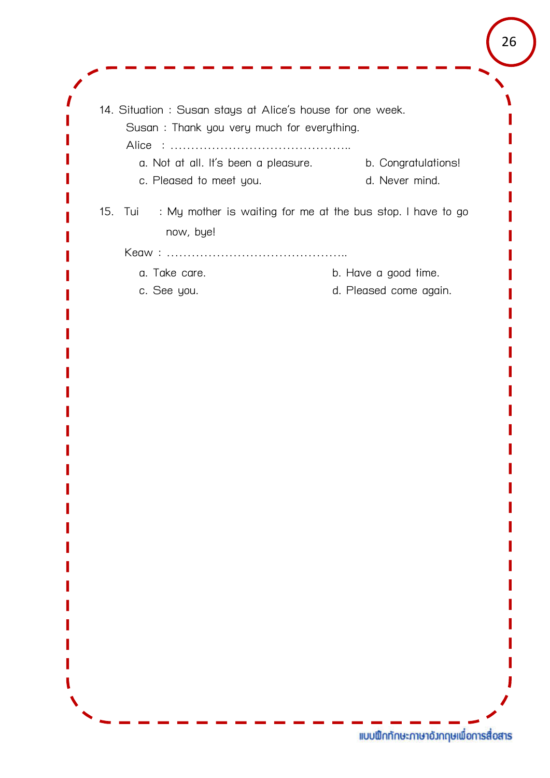| Susan: Thank you very much for everything.                                          |                        |
|-------------------------------------------------------------------------------------|------------------------|
| a. Not at all. It's been a pleasure. b. Congratulations!<br>c. Pleased to meet you. | d. Never mind.         |
| 15. Tui<br>: My mother is waiting for me at the bus stop. I have to go<br>now, bye! |                        |
|                                                                                     |                        |
| a. Take care.                                                                       | b. Have a good time.   |
| c. See you.                                                                         | d. Pleased come again. |
|                                                                                     |                        |
|                                                                                     |                        |
|                                                                                     |                        |
|                                                                                     |                        |
|                                                                                     |                        |
|                                                                                     |                        |
|                                                                                     |                        |
|                                                                                     |                        |
|                                                                                     |                        |
|                                                                                     |                        |
|                                                                                     |                        |
|                                                                                     |                        |
|                                                                                     |                        |
|                                                                                     |                        |
|                                                                                     |                        |
|                                                                                     |                        |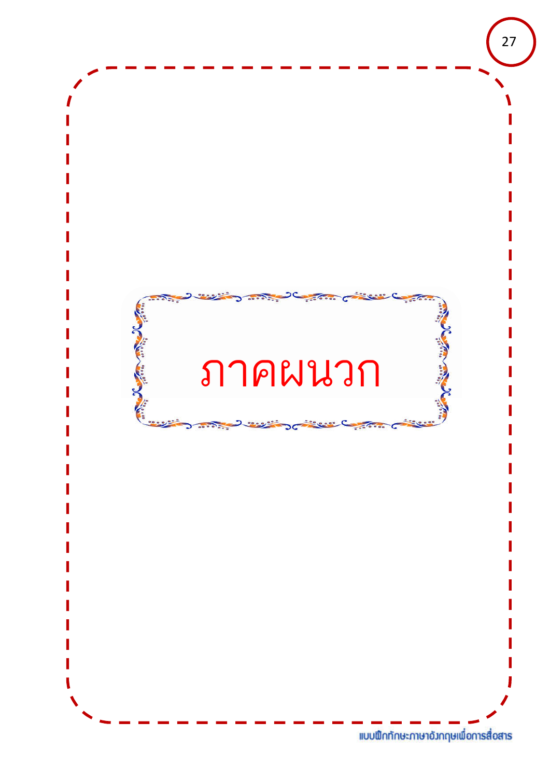![](_page_26_Picture_0.jpeg)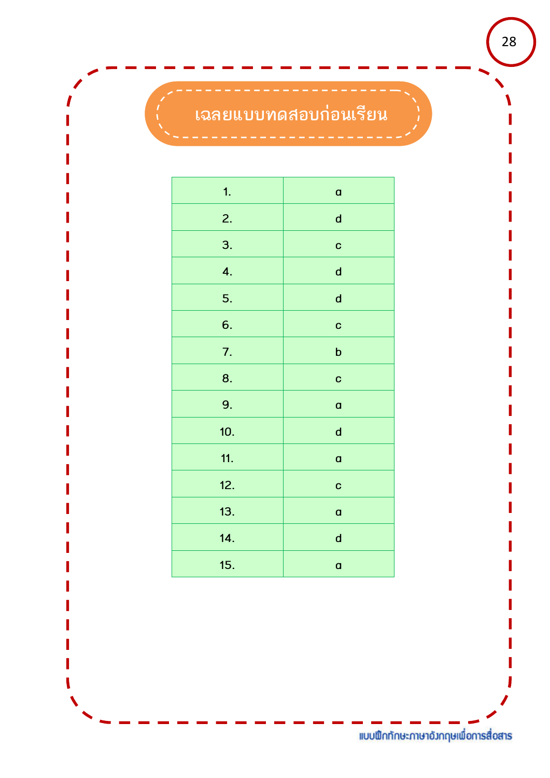# **เฉลยแบบทดสอบกอนเรียน**

| 1.  | $\mathbf{a}$ |
|-----|--------------|
| 2.  | $\mathsf{d}$ |
| 3.  | $\mathbf C$  |
| 4.  | $\mathsf{d}$ |
| 5.  | $\mathsf{d}$ |
| 6.  | $\mathbf C$  |
| 7.  | $\mathbf b$  |
| 8.  | C            |
| 9.  | $\mathbf{a}$ |
| 10. | $\mathsf{d}$ |
| 11. | $\mathsf{a}$ |
| 12. | C            |
| 13. | $\mathbf{a}$ |
| 14. | $\mathsf{d}$ |
| 15. | $\mathbf{a}$ |
|     |              |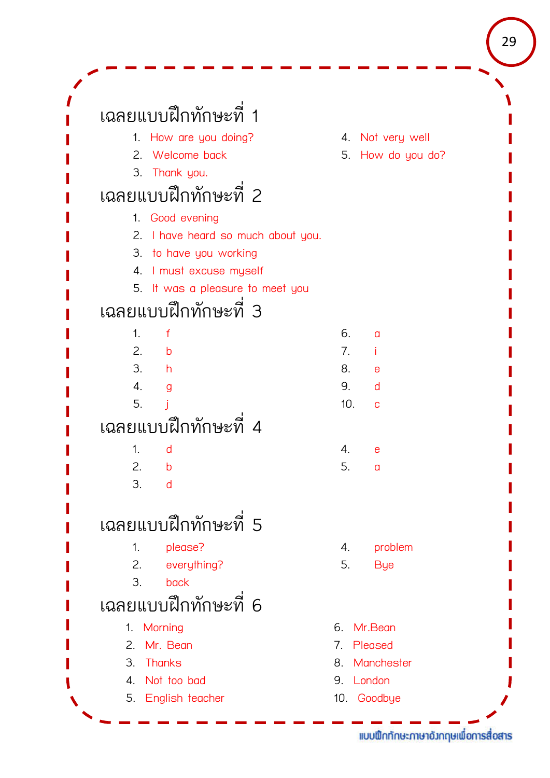| เฉลยแบบฝึกทักษะที่ 1               |                           |
|------------------------------------|---------------------------|
| 1. How are you doing?              | 4. Not very well          |
| 2. Welcome back                    | 5. How do you do?         |
| 3. Thank you.                      |                           |
| เฉลยแบบฝึกทักษะที่ 2               |                           |
| 1. Good evening                    |                           |
| 2. I have heard so much about you. |                           |
| 3. to have you working             |                           |
| 4. I must excuse myself            |                           |
| 5. It was a pleasure to meet you   |                           |
| เฉลยแบบฝึกทักษะที่ 3               |                           |
| 1.<br>$\mathsf{f}$                 | 6.<br>$\alpha$            |
| 2.<br>$\mathsf{b}$                 | 7.<br>Ť                   |
| 3.<br>h                            | 8.<br>e                   |
| 4.<br>g                            | 9.<br>d                   |
| 5.                                 | 10.<br>C                  |
| เฉลยแบบฝึกทักษะที่ 4               |                           |
| 1.<br>d                            | 4.<br>e                   |
| 2.<br>b                            | 5.<br>a                   |
| 3.<br>d                            |                           |
| เฉลยแบบฝึกทักษะที่ 5               |                           |
| 1.<br>please?                      | problem<br>4.             |
| 2.<br>everything?                  | 5.<br><b>Bye</b>          |
| 3.<br>back                         |                           |
| เฉลยแบบฝึกทักษะที่ 6               |                           |
| 1. Morning                         | Mr.Bean<br>6.             |
| Mr. Bean<br>2.                     | Pleased<br>7 <sub>1</sub> |
| <b>Thanks</b><br>3.                | Manchester<br>8.          |
| Not too bad<br>4.                  | London<br>9.              |
| 5. English teacher                 | 10. Goodbye               |

<sup>29</sup>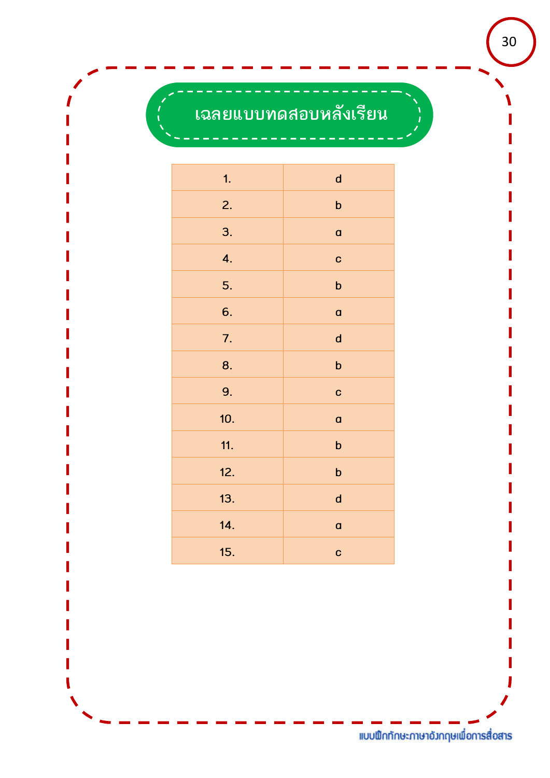# **เฉลยแบบทดสอบหลังเรียน**

| 1.  | $\mathsf{d}$              |
|-----|---------------------------|
| 2.  | $\boldsymbol{\mathsf{b}}$ |
| 3.  | $\mathsf{a}$              |
| 4.  | C                         |
| 5.  | $\boldsymbol{\mathsf{b}}$ |
| 6.  | $\mathbf a$               |
| 7.  | $\mathsf{d}$              |
| 8.  | $\mathbf b$               |
| 9.  | C                         |
| 10. | a                         |
| 11. | $\mathsf b$               |
| 12. | $\mathbf b$               |
| 13. | $\mathsf{d}$              |
| 14. | a                         |
| 15. | C                         |
|     |                           |